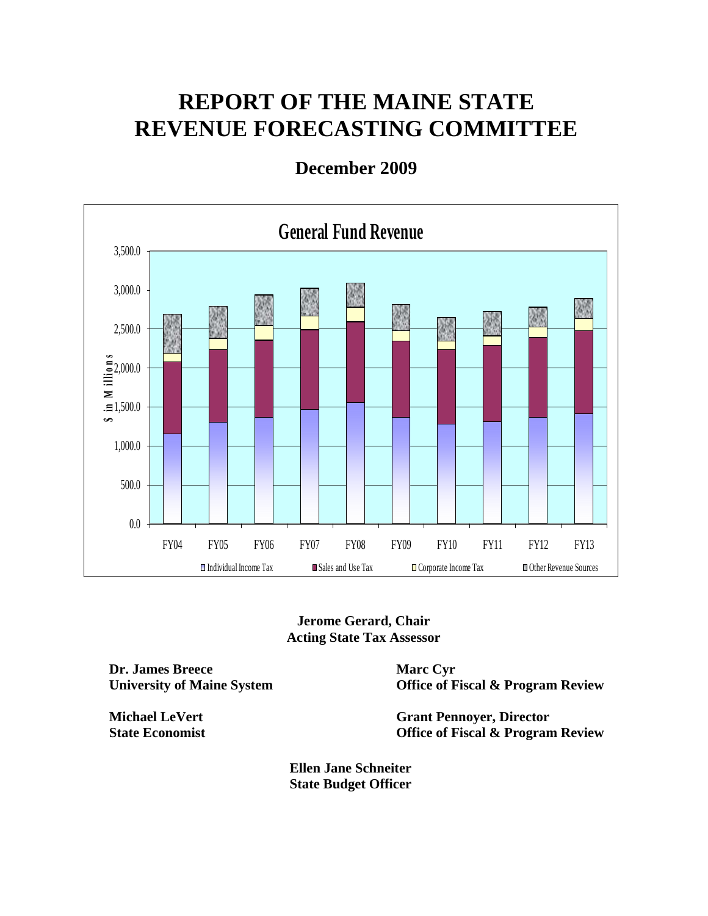# **REPORT OF THE MAINE STATE REVENUE FORECASTING COMMITTEE**



**December 2009** 

**Jerome Gerard, Chair Acting State Tax Assessor** 

**Dr. James Breece University of Maine System** 

**Michael LeVert State Economist**  **Marc Cyr Office of Fiscal & Program Review** 

**Grant Pennoyer, Director Office of Fiscal & Program Review** 

**Ellen Jane Schneiter State Budget Officer**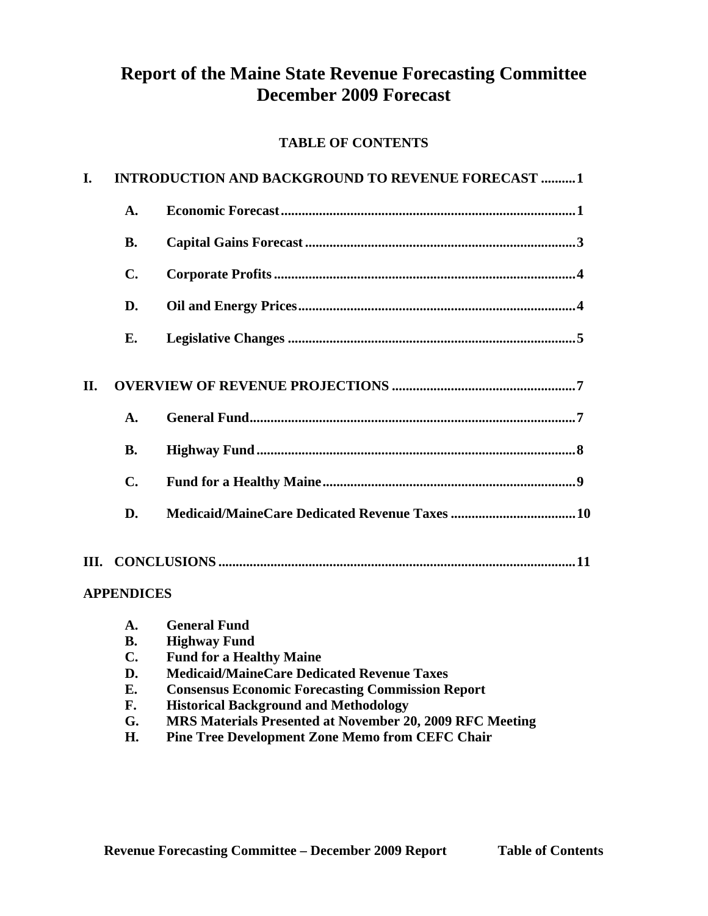## **Report of the Maine State Revenue Forecasting Committee December 2009 Forecast**

## **TABLE OF CONTENTS**

| I.  |                   | <b>INTRODUCTION AND BACKGROUND TO REVENUE FORECAST 1</b> |
|-----|-------------------|----------------------------------------------------------|
|     | $\mathbf{A}$ .    |                                                          |
|     | <b>B.</b>         |                                                          |
|     | $\mathbf{C}$ .    |                                                          |
|     | D.                |                                                          |
|     | Е.                |                                                          |
| II. |                   |                                                          |
|     | A.                |                                                          |
|     | <b>B.</b>         |                                                          |
|     | $\mathbf{C}$ .    |                                                          |
|     | D.                |                                                          |
| Ш.  | <b>APPENDICES</b> |                                                          |
|     |                   |                                                          |

| A.             | <b>General Fund</b>                                             |
|----------------|-----------------------------------------------------------------|
| <b>B.</b>      | <b>Highway Fund</b>                                             |
| $\mathbf{C}$ . | <b>Fund for a Healthy Maine</b>                                 |
| D.             | <b>Medicaid/MaineCare Dedicated Revenue Taxes</b>               |
| Е.             | <b>Consensus Economic Forecasting Commission Report</b>         |
| F.             | <b>Historical Background and Methodology</b>                    |
| G.             | <b>MRS Materials Presented at November 20, 2009 RFC Meeting</b> |
| H.             | <b>Pine Tree Development Zone Memo from CEFC Chair</b>          |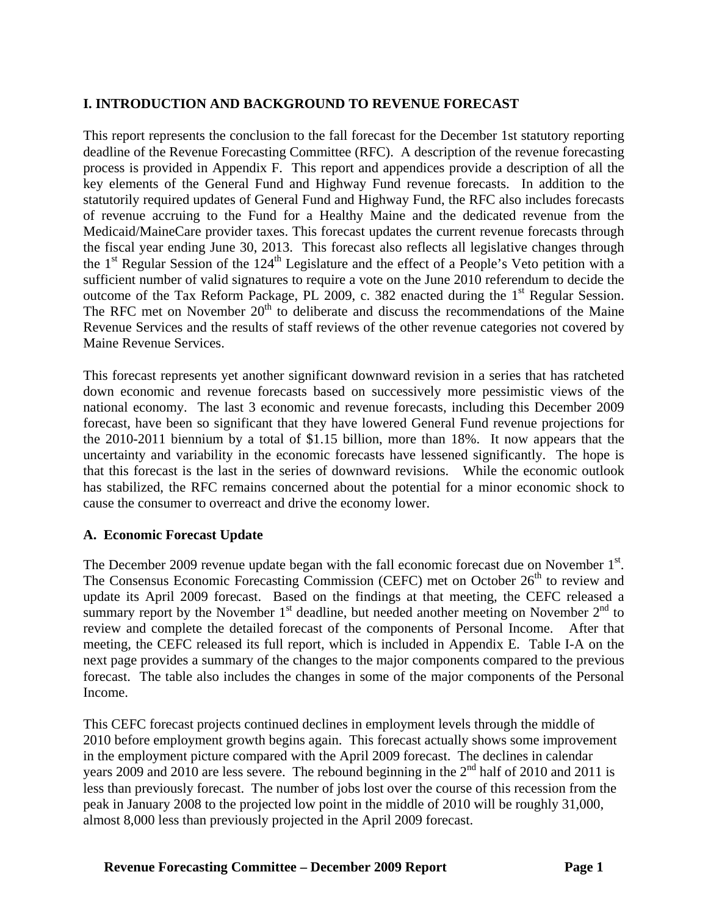### **I. INTRODUCTION AND BACKGROUND TO REVENUE FORECAST**

This report represents the conclusion to the fall forecast for the December 1st statutory reporting deadline of the Revenue Forecasting Committee (RFC). A description of the revenue forecasting process is provided in Appendix F. This report and appendices provide a description of all the key elements of the General Fund and Highway Fund revenue forecasts. In addition to the statutorily required updates of General Fund and Highway Fund, the RFC also includes forecasts of revenue accruing to the Fund for a Healthy Maine and the dedicated revenue from the Medicaid/MaineCare provider taxes. This forecast updates the current revenue forecasts through the fiscal year ending June 30, 2013. This forecast also reflects all legislative changes through the  $1<sup>st</sup>$  Regular Session of the  $124<sup>th</sup>$  Legislature and the effect of a People's Veto petition with a sufficient number of valid signatures to require a vote on the June 2010 referendum to decide the outcome of the Tax Reform Package, PL 2009, c. 382 enacted during the  $1<sup>st</sup>$  Regular Session. The RFC met on November  $20<sup>th</sup>$  to deliberate and discuss the recommendations of the Maine Revenue Services and the results of staff reviews of the other revenue categories not covered by Maine Revenue Services.

This forecast represents yet another significant downward revision in a series that has ratcheted down economic and revenue forecasts based on successively more pessimistic views of the national economy. The last 3 economic and revenue forecasts, including this December 2009 forecast, have been so significant that they have lowered General Fund revenue projections for the 2010-2011 biennium by a total of \$1.15 billion, more than 18%. It now appears that the uncertainty and variability in the economic forecasts have lessened significantly. The hope is that this forecast is the last in the series of downward revisions. While the economic outlook has stabilized, the RFC remains concerned about the potential for a minor economic shock to cause the consumer to overreact and drive the economy lower.

### **A. Economic Forecast Update**

The December 2009 revenue update began with the fall economic forecast due on November  $1<sup>st</sup>$ . The Consensus Economic Forecasting Commission (CEFC) met on October 26<sup>th</sup> to review and update its April 2009 forecast. Based on the findings at that meeting, the CEFC released a summary report by the November  $1<sup>st</sup>$  deadline, but needed another meeting on November  $2<sup>nd</sup>$  to review and complete the detailed forecast of the components of Personal Income. After that meeting, the CEFC released its full report, which is included in Appendix E. Table I-A on the next page provides a summary of the changes to the major components compared to the previous forecast. The table also includes the changes in some of the major components of the Personal Income.

This CEFC forecast projects continued declines in employment levels through the middle of 2010 before employment growth begins again. This forecast actually shows some improvement in the employment picture compared with the April 2009 forecast. The declines in calendar years 2009 and 2010 are less severe. The rebound beginning in the  $2<sup>nd</sup>$  half of 2010 and 2011 is less than previously forecast. The number of jobs lost over the course of this recession from the peak in January 2008 to the projected low point in the middle of 2010 will be roughly 31,000, almost 8,000 less than previously projected in the April 2009 forecast.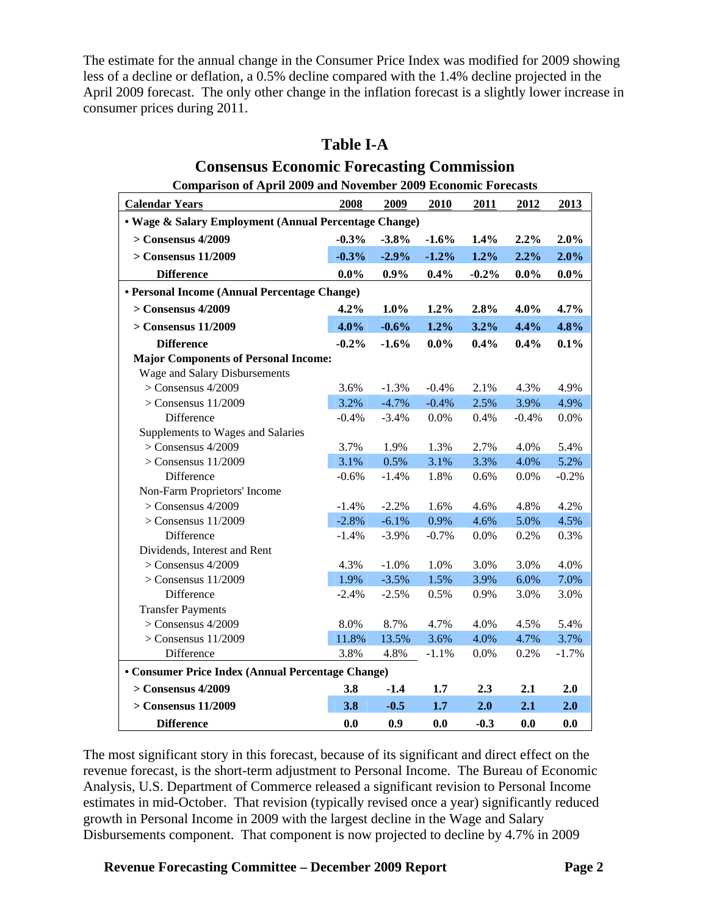The estimate for the annual change in the Consumer Price Index was modified for 2009 showing less of a decline or deflation, a 0.5% decline compared with the 1.4% decline projected in the April 2009 forecast. The only other change in the inflation forecast is a slightly lower increase in consumer prices during 2011.

| <b>Comparison of April 2009 and November 2009 Economic Forecasts</b> |         |         |         |         |         |         |  |  |  |
|----------------------------------------------------------------------|---------|---------|---------|---------|---------|---------|--|--|--|
| <b>Calendar Years</b>                                                | 2008    | 2009    | 2010    | 2011    | 2012    | 2013    |  |  |  |
| • Wage & Salary Employment (Annual Percentage Change)                |         |         |         |         |         |         |  |  |  |
| $>$ Consensus 4/2009                                                 | $-0.3%$ | $-3.8%$ | $-1.6%$ | 1.4%    | $2.2\%$ | 2.0%    |  |  |  |
| $>$ Consensus 11/2009                                                | $-0.3%$ | $-2.9%$ | $-1.2%$ | 1.2%    | 2.2%    | 2.0%    |  |  |  |
| <b>Difference</b>                                                    | $0.0\%$ | 0.9%    | 0.4%    | $-0.2%$ | $0.0\%$ | $0.0\%$ |  |  |  |
| • Personal Income (Annual Percentage Change)                         |         |         |         |         |         |         |  |  |  |
| $>$ Consensus 4/2009                                                 | 4.2%    | 1.0%    | 1.2%    | 2.8%    | $4.0\%$ | 4.7%    |  |  |  |
| $>$ Consensus 11/2009                                                | 4.0%    | $-0.6%$ | 1.2%    | 3.2%    | 4.4%    | 4.8%    |  |  |  |
| <b>Difference</b>                                                    | $-0.2%$ | $-1.6%$ | $0.0\%$ | 0.4%    | 0.4%    | 0.1%    |  |  |  |
| <b>Major Components of Personal Income:</b>                          |         |         |         |         |         |         |  |  |  |
| Wage and Salary Disbursements                                        |         |         |         |         |         |         |  |  |  |
| $>$ Consensus 4/2009                                                 | 3.6%    | $-1.3%$ | $-0.4%$ | 2.1%    | 4.3%    | 4.9%    |  |  |  |
| $>$ Consensus 11/2009                                                | 3.2%    | $-4.7%$ | $-0.4%$ | 2.5%    | 3.9%    | 4.9%    |  |  |  |
| Difference                                                           | $-0.4%$ | $-3.4%$ | 0.0%    | 0.4%    | $-0.4%$ | 0.0%    |  |  |  |
| Supplements to Wages and Salaries                                    |         |         |         |         |         |         |  |  |  |
| $>$ Consensus 4/2009                                                 | 3.7%    | 1.9%    | 1.3%    | 2.7%    | 4.0%    | 5.4%    |  |  |  |
| $>$ Consensus 11/2009                                                | 3.1%    | 0.5%    | 3.1%    | 3.3%    | 4.0%    | 5.2%    |  |  |  |
| Difference                                                           | $-0.6%$ | $-1.4%$ | 1.8%    | 0.6%    | 0.0%    | $-0.2%$ |  |  |  |
| Non-Farm Proprietors' Income                                         |         |         |         |         |         |         |  |  |  |
| $>$ Consensus 4/2009                                                 | $-1.4%$ | $-2.2%$ | 1.6%    | 4.6%    | 4.8%    | 4.2%    |  |  |  |
| $>$ Consensus 11/2009                                                | $-2.8%$ | $-6.1%$ | 0.9%    | 4.6%    | 5.0%    | 4.5%    |  |  |  |
| Difference                                                           | $-1.4%$ | $-3.9%$ | $-0.7%$ | 0.0%    | 0.2%    | 0.3%    |  |  |  |
| Dividends, Interest and Rent                                         |         |         |         |         |         |         |  |  |  |
| $>$ Consensus 4/2009                                                 | 4.3%    | $-1.0%$ | 1.0%    | 3.0%    | 3.0%    | 4.0%    |  |  |  |
| $>$ Consensus 11/2009                                                | 1.9%    | $-3.5%$ | 1.5%    | 3.9%    | 6.0%    | 7.0%    |  |  |  |
| Difference                                                           | $-2.4%$ | $-2.5%$ | 0.5%    | 0.9%    | 3.0%    | 3.0%    |  |  |  |
| <b>Transfer Payments</b>                                             |         |         |         |         |         |         |  |  |  |
| $>$ Consensus 4/2009                                                 | 8.0%    | 8.7%    | 4.7%    | 4.0%    | 4.5%    | 5.4%    |  |  |  |
| $>$ Consensus 11/2009                                                | 11.8%   | 13.5%   | 3.6%    | 4.0%    | 4.7%    | 3.7%    |  |  |  |
| Difference                                                           | 3.8%    | 4.8%    | $-1.1%$ | 0.0%    | 0.2%    | $-1.7%$ |  |  |  |
| • Consumer Price Index (Annual Percentage Change)                    |         |         |         |         |         |         |  |  |  |
| $>$ Consensus 4/2009                                                 | 3.8     | $-1.4$  | 1.7     | 2.3     | 2.1     | 2.0     |  |  |  |
| $>$ Consensus 11/2009                                                | 3.8     | $-0.5$  | 1.7     | 2.0     | 2.1     | 2.0     |  |  |  |
| <b>Difference</b>                                                    | 0.0     | 0.9     | 0.0     | $-0.3$  | 0.0     | 0.0     |  |  |  |

## **Table I-A Consensus Economic Forecasting Commission**

The most significant story in this forecast, because of its significant and direct effect on the revenue forecast, is the short-term adjustment to Personal Income. The Bureau of Economic Analysis, U.S. Department of Commerce released a significant revision to Personal Income estimates in mid-October. That revision (typically revised once a year) significantly reduced growth in Personal Income in 2009 with the largest decline in the Wage and Salary Disbursements component. That component is now projected to decline by 4.7% in 2009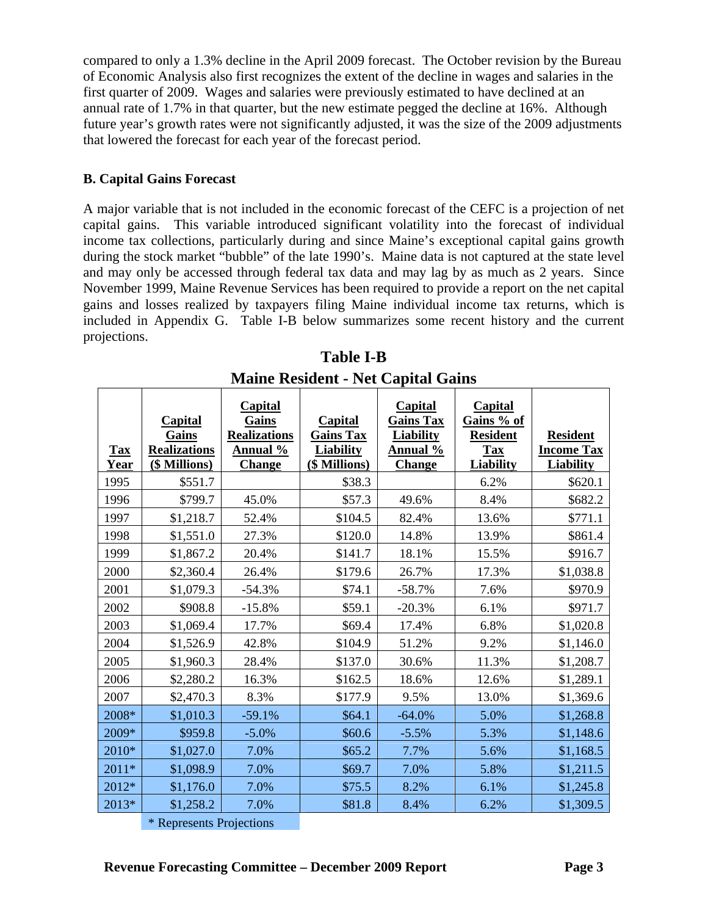compared to only a 1.3% decline in the April 2009 forecast. The October revision by the Bureau of Economic Analysis also first recognizes the extent of the decline in wages and salaries in the first quarter of 2009. Wages and salaries were previously estimated to have declined at an annual rate of 1.7% in that quarter, but the new estimate pegged the decline at 16%. Although future year's growth rates were not significantly adjusted, it was the size of the 2009 adjustments that lowered the forecast for each year of the forecast period.

#### **B. Capital Gains Forecast**

A major variable that is not included in the economic forecast of the CEFC is a projection of net capital gains. This variable introduced significant volatility into the forecast of individual income tax collections, particularly during and since Maine's exceptional capital gains growth during the stock market "bubble" of the late 1990's. Maine data is not captured at the state level and may only be accessed through federal tax data and may lag by as much as 2 years. Since November 1999, Maine Revenue Services has been required to provide a report on the net capital gains and losses realized by taxpayers filing Maine individual income tax returns, which is included in Appendix G. Table I-B below summarizes some recent history and the current projections.

| <b>Tax</b><br>Year | <b>Capital</b><br>Gains<br><b>Realizations</b><br>(\$ Millions) | <b>Capital</b><br>Gains<br><b>Realizations</b><br>Annual %<br><b>Change</b> | Capital<br><b>Gains Tax</b><br><b>Liability</b><br>(\$ Millions) | <b>Capital</b><br><b>Gains Tax</b><br><b>Liability</b><br>Annual %<br><b>Change</b> | <b>Capital</b><br>Gains % of<br><b>Resident</b><br><b>Tax</b><br><b>Liability</b> | <b>Resident</b><br><b>Income Tax</b><br><b>Liability</b> |
|--------------------|-----------------------------------------------------------------|-----------------------------------------------------------------------------|------------------------------------------------------------------|-------------------------------------------------------------------------------------|-----------------------------------------------------------------------------------|----------------------------------------------------------|
| 1995               | \$551.7                                                         |                                                                             | \$38.3                                                           |                                                                                     | 6.2%                                                                              | \$620.1                                                  |
| 1996               | \$799.7                                                         | 45.0%                                                                       | \$57.3                                                           | 49.6%                                                                               | 8.4%                                                                              | \$682.2                                                  |
| 1997               | \$1,218.7                                                       | 52.4%                                                                       | \$104.5                                                          | 82.4%                                                                               | 13.6%                                                                             | \$771.1                                                  |
| 1998               | \$1,551.0                                                       | 27.3%                                                                       | \$120.0                                                          | 14.8%                                                                               | 13.9%                                                                             | \$861.4                                                  |
| 1999               | \$1,867.2                                                       | 20.4%                                                                       | \$141.7                                                          | 18.1%                                                                               | 15.5%                                                                             | \$916.7                                                  |
| 2000               | \$2,360.4                                                       | 26.4%                                                                       | \$179.6                                                          | 26.7%                                                                               | 17.3%                                                                             | \$1,038.8                                                |
| 2001               | \$1,079.3                                                       | $-54.3%$                                                                    | \$74.1                                                           | $-58.7%$                                                                            | 7.6%                                                                              | \$970.9                                                  |
| 2002               | \$908.8                                                         | $-15.8%$                                                                    | \$59.1                                                           | $-20.3%$                                                                            | 6.1%                                                                              | \$971.7                                                  |
| 2003               | \$1,069.4                                                       | 17.7%                                                                       | \$69.4                                                           | 17.4%                                                                               | 6.8%                                                                              | \$1,020.8                                                |
| 2004               | \$1,526.9                                                       | 42.8%                                                                       | \$104.9                                                          | 51.2%                                                                               | 9.2%                                                                              | \$1,146.0                                                |
| 2005               | \$1,960.3                                                       | 28.4%                                                                       | \$137.0                                                          | 30.6%                                                                               | 11.3%                                                                             | \$1,208.7                                                |
| 2006               | \$2,280.2                                                       | 16.3%                                                                       | \$162.5                                                          | 18.6%                                                                               | 12.6%                                                                             | \$1,289.1                                                |
| 2007               | \$2,470.3                                                       | 8.3%                                                                        | \$177.9                                                          | 9.5%                                                                                | 13.0%                                                                             | \$1,369.6                                                |
| 2008*              | \$1,010.3                                                       | $-59.1%$                                                                    | \$64.1                                                           | $-64.0%$                                                                            | 5.0%                                                                              | \$1,268.8                                                |
| 2009*              | \$959.8                                                         | $-5.0%$                                                                     | \$60.6                                                           | $-5.5%$                                                                             | 5.3%                                                                              | \$1,148.6                                                |
| 2010*              | \$1,027.0                                                       | 7.0%                                                                        | \$65.2                                                           | 7.7%                                                                                | 5.6%                                                                              | \$1,168.5                                                |
| 2011*              | \$1,098.9                                                       | 7.0%                                                                        | \$69.7                                                           | 7.0%                                                                                | 5.8%                                                                              | \$1,211.5                                                |
| 2012*              | \$1,176.0                                                       | 7.0%                                                                        | \$75.5                                                           | 8.2%                                                                                | 6.1%                                                                              | \$1,245.8                                                |
| 2013*              | \$1,258.2                                                       | 7.0%                                                                        | \$81.8                                                           | 8.4%                                                                                | 6.2%                                                                              | \$1,309.5                                                |

**Table I-B Maine Resident - Net Capital Gains** 

\* Represents Projections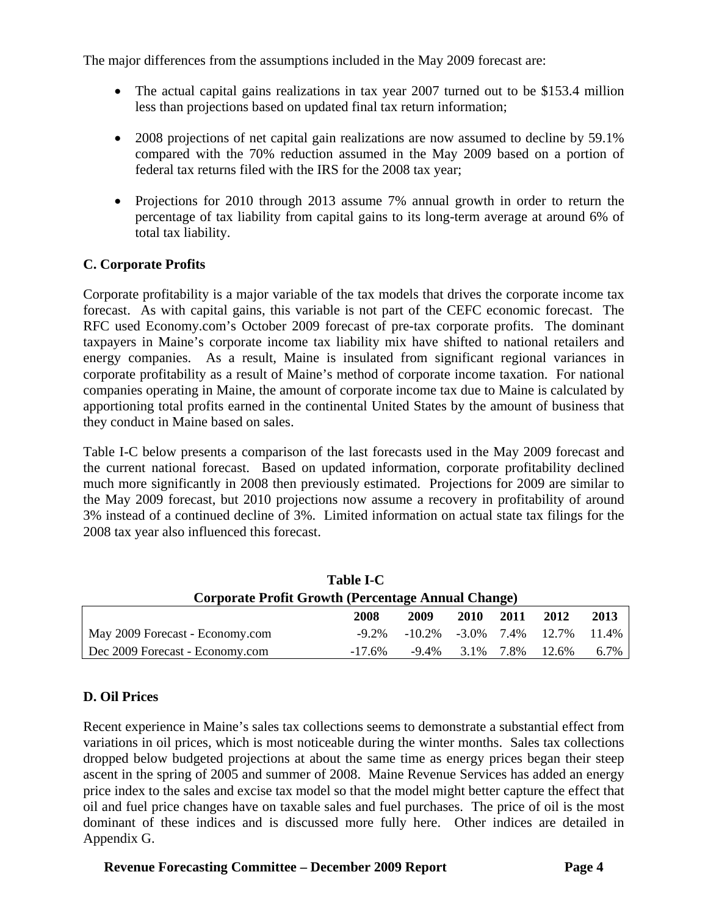The major differences from the assumptions included in the May 2009 forecast are:

- The actual capital gains realizations in tax year 2007 turned out to be \$153.4 million less than projections based on updated final tax return information;
- 2008 projections of net capital gain realizations are now assumed to decline by 59.1% compared with the 70% reduction assumed in the May 2009 based on a portion of federal tax returns filed with the IRS for the 2008 tax year;
- Projections for 2010 through 2013 assume 7% annual growth in order to return the percentage of tax liability from capital gains to its long-term average at around 6% of total tax liability.

## **C. Corporate Profits**

Corporate profitability is a major variable of the tax models that drives the corporate income tax forecast. As with capital gains, this variable is not part of the CEFC economic forecast. The RFC used Economy.com's October 2009 forecast of pre-tax corporate profits. The dominant taxpayers in Maine's corporate income tax liability mix have shifted to national retailers and energy companies. As a result, Maine is insulated from significant regional variances in corporate profitability as a result of Maine's method of corporate income taxation. For national companies operating in Maine, the amount of corporate income tax due to Maine is calculated by apportioning total profits earned in the continental United States by the amount of business that they conduct in Maine based on sales.

Table I-C below presents a comparison of the last forecasts used in the May 2009 forecast and the current national forecast. Based on updated information, corporate profitability declined much more significantly in 2008 then previously estimated. Projections for 2009 are similar to the May 2009 forecast, but 2010 projections now assume a recovery in profitability of around 3% instead of a continued decline of 3%. Limited information on actual state tax filings for the 2008 tax year also influenced this forecast.

| <b>Table I-C</b>                                          |           |                                     |                      |      |       |       |  |  |
|-----------------------------------------------------------|-----------|-------------------------------------|----------------------|------|-------|-------|--|--|
| <b>Corporate Profit Growth (Percentage Annual Change)</b> |           |                                     |                      |      |       |       |  |  |
|                                                           | 2008      | 2009                                | 2010                 | 2011 | 2012  | 2013  |  |  |
| May 2009 Forecast - Economy.com                           | $-9.2\%$  | $-10.2\%$ $-3.0\%$ $7.4\%$ $12.7\%$ |                      |      |       | 11.4% |  |  |
| Dec 2009 Forecast - Economy.com                           | $-17.6\%$ |                                     | $-9.4\%$ 3.1\% 7.8\% |      | 12.6% | 6.7%  |  |  |

### **D. Oil Prices**

Recent experience in Maine's sales tax collections seems to demonstrate a substantial effect from variations in oil prices, which is most noticeable during the winter months. Sales tax collections dropped below budgeted projections at about the same time as energy prices began their steep ascent in the spring of 2005 and summer of 2008. Maine Revenue Services has added an energy price index to the sales and excise tax model so that the model might better capture the effect that oil and fuel price changes have on taxable sales and fuel purchases. The price of oil is the most dominant of these indices and is discussed more fully here. Other indices are detailed in Appendix G.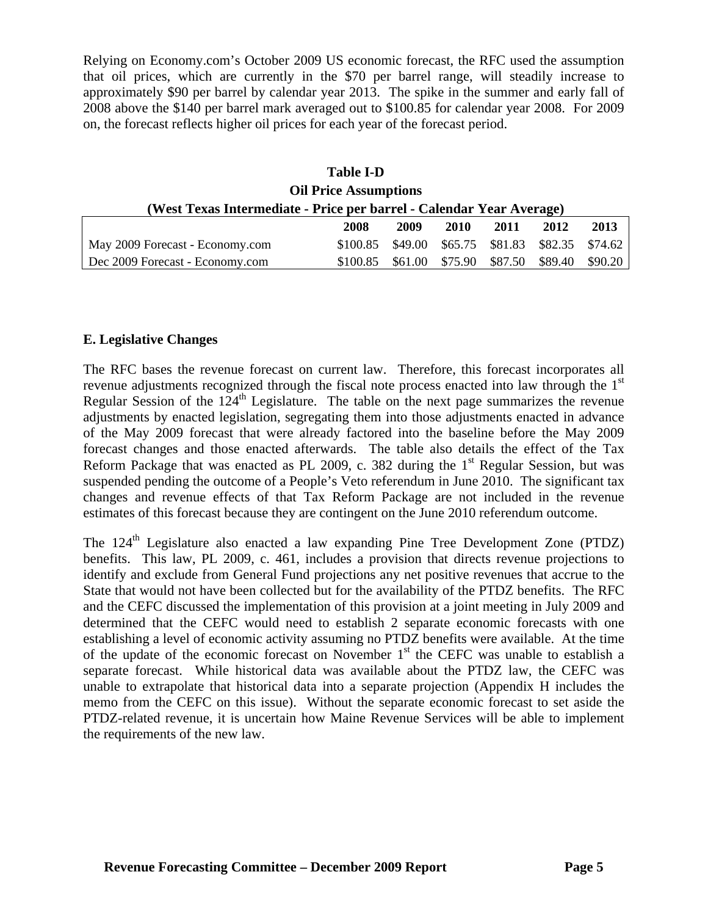Relying on Economy.com's October 2009 US economic forecast, the RFC used the assumption that oil prices, which are currently in the \$70 per barrel range, will steadily increase to approximately \$90 per barrel by calendar year 2013. The spike in the summer and early fall of 2008 above the \$140 per barrel mark averaged out to \$100.85 for calendar year 2008. For 2009 on, the forecast reflects higher oil prices for each year of the forecast period.

| <b>Table I-D</b>                                                     |          |         |         |         |         |         |  |
|----------------------------------------------------------------------|----------|---------|---------|---------|---------|---------|--|
| <b>Oil Price Assumptions</b>                                         |          |         |         |         |         |         |  |
| (West Texas Intermediate - Price per barrel - Calendar Year Average) |          |         |         |         |         |         |  |
|                                                                      | 2008     | 2009    | 2010    | 2011    | 2012    | 2013    |  |
| May 2009 Forecast - Economy.com                                      | \$100.85 | \$49.00 | \$65.75 | \$81.83 | \$82.35 | \$74.62 |  |
| Dec 2009 Forecast - Economy.com                                      | \$100.85 | \$61.00 | \$75.90 | \$87.50 | \$89.40 | \$90.20 |  |

## **E. Legislative Changes**

The RFC bases the revenue forecast on current law. Therefore, this forecast incorporates all revenue adjustments recognized through the fiscal note process enacted into law through the 1<sup>st</sup> Regular Session of the  $124<sup>th</sup>$  Legislature. The table on the next page summarizes the revenue adjustments by enacted legislation, segregating them into those adjustments enacted in advance of the May 2009 forecast that were already factored into the baseline before the May 2009 forecast changes and those enacted afterwards. The table also details the effect of the Tax Reform Package that was enacted as PL 2009, c. 382 during the  $1<sup>st</sup>$  Regular Session, but was suspended pending the outcome of a People's Veto referendum in June 2010. The significant tax changes and revenue effects of that Tax Reform Package are not included in the revenue estimates of this forecast because they are contingent on the June 2010 referendum outcome.

The 124<sup>th</sup> Legislature also enacted a law expanding Pine Tree Development Zone (PTDZ) benefits. This law, PL 2009, c. 461, includes a provision that directs revenue projections to identify and exclude from General Fund projections any net positive revenues that accrue to the State that would not have been collected but for the availability of the PTDZ benefits. The RFC and the CEFC discussed the implementation of this provision at a joint meeting in July 2009 and determined that the CEFC would need to establish 2 separate economic forecasts with one establishing a level of economic activity assuming no PTDZ benefits were available. At the time of the update of the economic forecast on November  $1<sup>st</sup>$  the CEFC was unable to establish a separate forecast. While historical data was available about the PTDZ law, the CEFC was unable to extrapolate that historical data into a separate projection (Appendix H includes the memo from the CEFC on this issue). Without the separate economic forecast to set aside the PTDZ-related revenue, it is uncertain how Maine Revenue Services will be able to implement the requirements of the new law.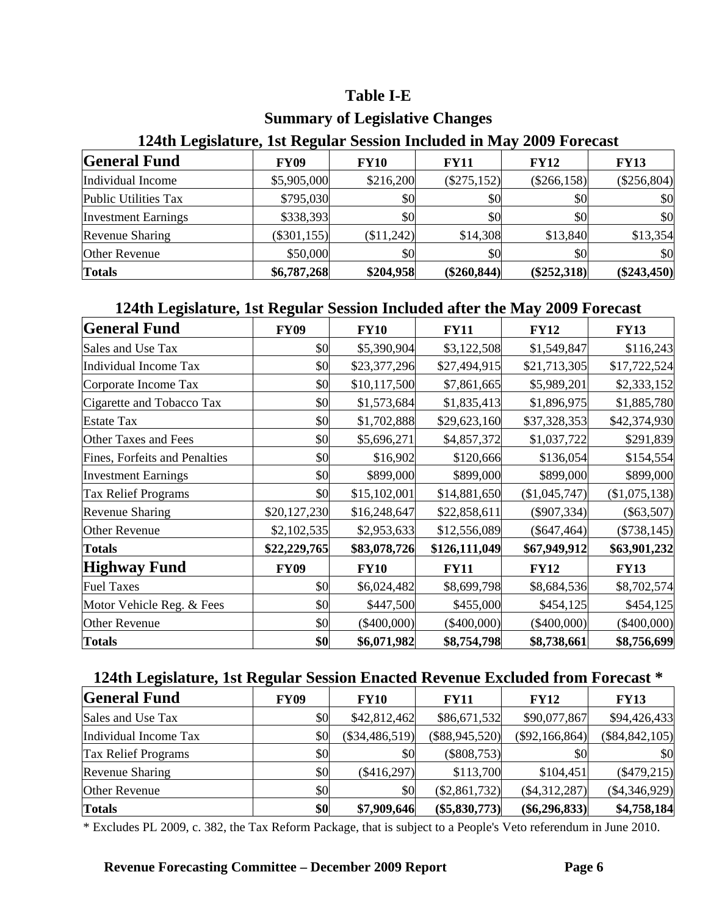## **Table I-E**

## **Summary of Legislative Changes**

## **General Fund** FY09 FY10 FY11 FY12 FY13 Individual Income  $\begin{array}{|l} \n\end{array}$  \$5,905,000 \$216,200 (\$275,152) (\$266,158) (\$256,804) Public Utilities Tax  $\begin{array}{ccc} \vert & 5795,030 \end{array}$   $\begin{array}{ccc} 50 \end{array}$   $\begin{array}{ccc} 50 \end{array}$   $\begin{array}{ccc} 50 \end{array}$   $\begin{array}{ccc} 50 \end{array}$ Investment Earnings \$338,393 \$0 \$0 \$0 \$0 Revenue Sharing (\$301,155) (\$11,242) \$14,308 \$13,840 \$13,354 Other Revenue 1  $$50,000$   $$0$   $$0$   $$0$   $$0$   $$0$ **Totals \$6,787,268 \$204,958 (\$260,844) (\$252,318) (\$243,450)**

## **124th Legislature, 1st Regular Session Included in May 2009 Forecast**

## **124th Legislature, 1st Regular Session Included after the May 2009 Forecast**

| <b>General Fund</b>           | <b>FY09</b>  | <b>FY10</b>   | <b>FY11</b>   | <b>FY12</b>   | <b>FY13</b>   |
|-------------------------------|--------------|---------------|---------------|---------------|---------------|
| Sales and Use Tax             | \$0          | \$5,390,904   | \$3,122,508   | \$1,549,847   | \$116,243     |
| Individual Income Tax         | \$0          | \$23,377,296  | \$27,494,915  | \$21,713,305  | \$17,722,524  |
| Corporate Income Tax          | \$0          | \$10,117,500  | \$7,861,665   | \$5,989,201   | \$2,333,152   |
| Cigarette and Tobacco Tax     | \$0          | \$1,573,684   | \$1,835,413   | \$1,896,975   | \$1,885,780   |
| <b>Estate Tax</b>             | \$0          | \$1,702,888   | \$29,623,160  | \$37,328,353  | \$42,374,930  |
| <b>Other Taxes and Fees</b>   | \$0          | \$5,696,271   | \$4,857,372   | \$1,037,722   | \$291,839     |
| Fines, Forfeits and Penalties | \$0          | \$16,902      | \$120,666     | \$136,054     | \$154,554     |
| <b>Investment Earnings</b>    | \$0          | \$899,000     | \$899,000     | \$899,000     | \$899,000     |
| Tax Relief Programs           | \$0          | \$15,102,001  | \$14,881,650  | (\$1,045,747) | (\$1,075,138) |
| <b>Revenue Sharing</b>        | \$20,127,230 | \$16,248,647  | \$22,858,611  | $(\$907,334)$ | $(\$63,507)$  |
| <b>Other Revenue</b>          | \$2,102,535  | \$2,953,633   | \$12,556,089  | $(\$647,464)$ | $(\$738,145)$ |
| <b>Totals</b>                 | \$22,229,765 | \$83,078,726  | \$126,111,049 | \$67,949,912  | \$63,901,232  |
| <b>Highway Fund</b>           | <b>FY09</b>  | <b>FY10</b>   | <b>FY11</b>   | <b>FY12</b>   | <b>FY13</b>   |
| <b>Fuel Taxes</b>             | \$0          | \$6,024,482   | \$8,699,798   | \$8,684,536   | \$8,702,574   |
| Motor Vehicle Reg. & Fees     | \$0          | \$447,500     | \$455,000     | \$454,125     | \$454,125     |
| Other Revenue                 | \$0          | $(\$400,000)$ | $(\$400,000)$ | $(\$400,000)$ | $(\$400,000)$ |
| <b>Totals</b>                 | \$0          | \$6,071,982   | \$8,754,798   | \$8,738,661   | \$8,756,699   |

## **124th Legislature, 1st Regular Session Enacted Revenue Excluded from Forecast \***

| <b>General Fund</b>        | <b>FY09</b> | <b>FY10</b>      | <b>FY11</b>      | <b>FY12</b>      | <b>FY13</b>        |
|----------------------------|-------------|------------------|------------------|------------------|--------------------|
| Sales and Use Tax          | \$0         | \$42,812,462     | \$86,671,532     | \$90,077,867     | \$94,426,433       |
| Individual Income Tax      | \$0         | $(\$34,486,519)$ | $(\$88,945,520)$ | $(\$92,166,864)$ | $(\$84, 842, 105)$ |
| <b>Tax Relief Programs</b> | \$0         | \$0              | $(\$808,753)$    | \$0              | \$0                |
| Revenue Sharing            | \$0         | $(\$416,297)$    | \$113,700        | \$104,451        | $(\$479,215)$      |
| Other Revenue              | \$0         | \$0              | (\$2,861,732)    | $(\$4,312,287)$  | $(\$4,346,929)$    |
| <b>Totals</b>              | \$0         | \$7,909,646      | $(\$5,830,773)$  | $(\$6,296,833)$  | \$4,758,184        |

\* Excludes PL 2009, c. 382, the Tax Reform Package, that is subject to a People's Veto referendum in June 2010.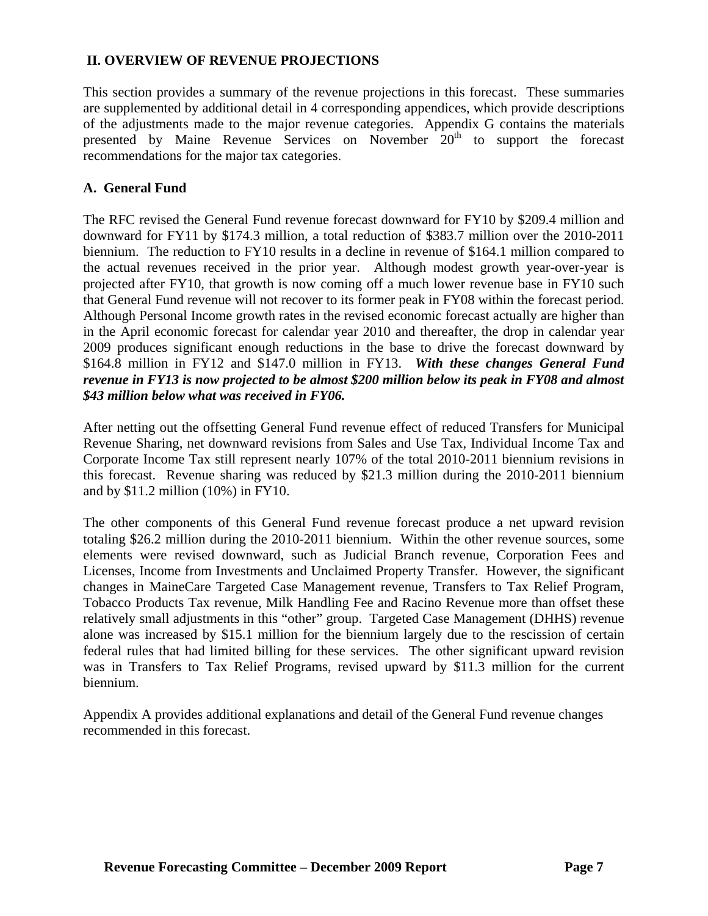### **II. OVERVIEW OF REVENUE PROJECTIONS**

This section provides a summary of the revenue projections in this forecast. These summaries are supplemented by additional detail in 4 corresponding appendices, which provide descriptions of the adjustments made to the major revenue categories. Appendix G contains the materials presented by Maine Revenue Services on November 20<sup>th</sup> to support the forecast recommendations for the major tax categories.

### **A. General Fund**

The RFC revised the General Fund revenue forecast downward for FY10 by \$209.4 million and downward for FY11 by \$174.3 million, a total reduction of \$383.7 million over the 2010-2011 biennium. The reduction to FY10 results in a decline in revenue of \$164.1 million compared to the actual revenues received in the prior year. Although modest growth year-over-year is projected after FY10, that growth is now coming off a much lower revenue base in FY10 such that General Fund revenue will not recover to its former peak in FY08 within the forecast period. Although Personal Income growth rates in the revised economic forecast actually are higher than in the April economic forecast for calendar year 2010 and thereafter, the drop in calendar year 2009 produces significant enough reductions in the base to drive the forecast downward by \$164.8 million in FY12 and \$147.0 million in FY13. *With these changes General Fund revenue in FY13 is now projected to be almost \$200 million below its peak in FY08 and almost \$43 million below what was received in FY06.* 

After netting out the offsetting General Fund revenue effect of reduced Transfers for Municipal Revenue Sharing, net downward revisions from Sales and Use Tax, Individual Income Tax and Corporate Income Tax still represent nearly 107% of the total 2010-2011 biennium revisions in this forecast. Revenue sharing was reduced by \$21.3 million during the 2010-2011 biennium and by \$11.2 million (10%) in FY10.

The other components of this General Fund revenue forecast produce a net upward revision totaling \$26.2 million during the 2010-2011 biennium. Within the other revenue sources, some elements were revised downward, such as Judicial Branch revenue, Corporation Fees and Licenses, Income from Investments and Unclaimed Property Transfer. However, the significant changes in MaineCare Targeted Case Management revenue, Transfers to Tax Relief Program, Tobacco Products Tax revenue, Milk Handling Fee and Racino Revenue more than offset these relatively small adjustments in this "other" group. Targeted Case Management (DHHS) revenue alone was increased by \$15.1 million for the biennium largely due to the rescission of certain federal rules that had limited billing for these services. The other significant upward revision was in Transfers to Tax Relief Programs, revised upward by \$11.3 million for the current biennium.

Appendix A provides additional explanations and detail of the General Fund revenue changes recommended in this forecast.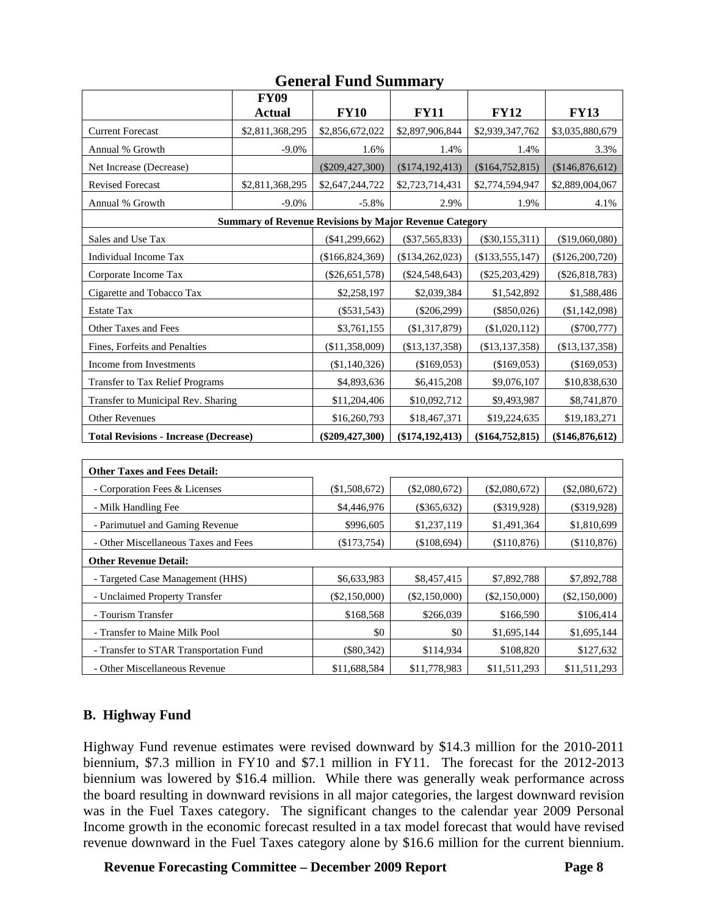|                                              |                                                               | Othtrai r'unu duniniai y |                     |                   |                  |
|----------------------------------------------|---------------------------------------------------------------|--------------------------|---------------------|-------------------|------------------|
|                                              | <b>FY09</b>                                                   |                          |                     |                   |                  |
|                                              | <b>Actual</b>                                                 | <b>FY10</b>              | <b>FY11</b>         | <b>FY12</b>       | <b>FY13</b>      |
| <b>Current Forecast</b>                      | \$2,811,368,295                                               | \$2,856,672,022          | \$2,897,906,844     | \$2,939,347,762   | \$3,035,880,679  |
| Annual % Growth                              | $-9.0%$                                                       | 1.6%                     | 1.4%                | 1.4%              | 3.3%             |
| Net Increase (Decrease)                      |                                                               | $(\$209,427,300)$        | (\$174,192,413)     | (\$164,752,815)   | (\$146,876,612)  |
| <b>Revised Forecast</b>                      | \$2,811,368,295                                               | \$2,647,244,722          | \$2,723,714,431     | \$2,774,594,947   | \$2,889,004,067  |
| Annual % Growth                              | $-9.0%$                                                       | $-5.8%$                  | 2.9%                | 1.9%              | 4.1%             |
|                                              | <b>Summary of Revenue Revisions by Major Revenue Category</b> |                          |                     |                   |                  |
| Sales and Use Tax                            |                                                               | (\$41,299,662)           | $(\$37,565,833)$    | $(\$30,155,311)$  | (\$19,060,080)   |
| Individual Income Tax                        |                                                               | (\$166,824,369)          | (\$134, 262, 023)   | (\$133,555,147)   | (\$126,200,720)  |
| Corporate Income Tax                         |                                                               | $(\$26,651,578)$         | $(\$24,548,643)$    | $(\$25,203,429)$  | $(\$26,818,783)$ |
| Cigarette and Tobacco Tax                    |                                                               | \$2,258,197              | \$2,039,384         | \$1,542,892       | \$1,588,486      |
| <b>Estate Tax</b>                            |                                                               | $(\$531,543)$            | $(\$206,299)$       | $(\$850,026)$     | (\$1,142,098)    |
| Other Taxes and Fees                         |                                                               | \$3,761,155              | (\$1,317,879)       | (\$1,020,112)     | $(\$700,777)$    |
| Fines, Forfeits and Penalties                |                                                               | (\$11,358,009)           | (\$13,137,358)      | (\$13,137,358)    | (\$13,137,358)   |
| Income from Investments                      |                                                               | (\$1,140,326)            | (\$169,053)         | (\$169,053)       | (\$169,053)      |
| <b>Transfer to Tax Relief Programs</b>       |                                                               | \$4,893,636              | \$6,415,208         | \$9,076,107       | \$10,838,630     |
| Transfer to Municipal Rev. Sharing           |                                                               | \$11,204,406             | \$10,092,712        | \$9,493,987       | \$8,741,870      |
| <b>Other Revenues</b>                        |                                                               | \$16,260,793             | \$18,467,371        | \$19,224,635      | \$19,183,271     |
| <b>Total Revisions - Increase (Decrease)</b> |                                                               | $(\$209,427,300)$        | $(\$174, 192, 413)$ | (\$164, 752, 815) | (\$146,876,612)  |
|                                              |                                                               |                          |                     |                   |                  |
| <b>Other Taxes and Fees Detail:</b>          |                                                               |                          |                     |                   |                  |
| - Corporation Fees & Licenses                |                                                               | (\$1,508,672)            | $(\$2,080,672)$     | $(\$2,080,672)$   | $(\$2,080,672)$  |
| - Milk Handling Fee                          | \$4,446,976                                                   | $(\$365,632)$            | $(\$319,928)$       | $(\$319,928)$     |                  |
| - Parimutuel and Gaming Revenue              | \$996,605                                                     | \$1,237,119              | \$1,491,364         | \$1,810,699       |                  |
| - Other Miscellaneous Taxes and Fees         | (\$173,754)                                                   | (\$108,694)              | (\$110,876)         | (\$110,876)       |                  |
| <b>Other Revenue Detail:</b>                 |                                                               |                          |                     |                   |                  |
| - Targeted Case Management (HHS)             |                                                               | \$6,633,983              | \$8,457,415         | \$7,892,788       | \$7,892,788      |
| - Unclaimed Property Transfer                |                                                               | $(\$2,150,000)$          | $(\$2,150,000)$     | (\$2,150,000)     | $(\$2,150,000)$  |
| - Tourism Transfer                           |                                                               | \$168,568                | \$266,039           | \$166,590         | \$106,414        |

## **General Fund Summary**

### **B. Highway Fund**

Highway Fund revenue estimates were revised downward by \$14.3 million for the 2010-2011 biennium, \$7.3 million in FY10 and \$7.1 million in FY11. The forecast for the 2012-2013 biennium was lowered by \$16.4 million. While there was generally weak performance across the board resulting in downward revisions in all major categories, the largest downward revision was in the Fuel Taxes category. The significant changes to the calendar year 2009 Personal Income growth in the economic forecast resulted in a tax model forecast that would have revised revenue downward in the Fuel Taxes category alone by \$16.6 million for the current biennium.

- Transfer to Maine Milk Pool  $\$0$   $\$1,695,144$   $\$1,695,144$   $\$1,695,144$ - Transfer to STAR Transportation Fund (\$80,342) \$114,934 \$108,820 \$127,632 - Other Miscellaneous Revenue \$11,688,584 \$11,778,983 \$11,511,293 \$11,511,293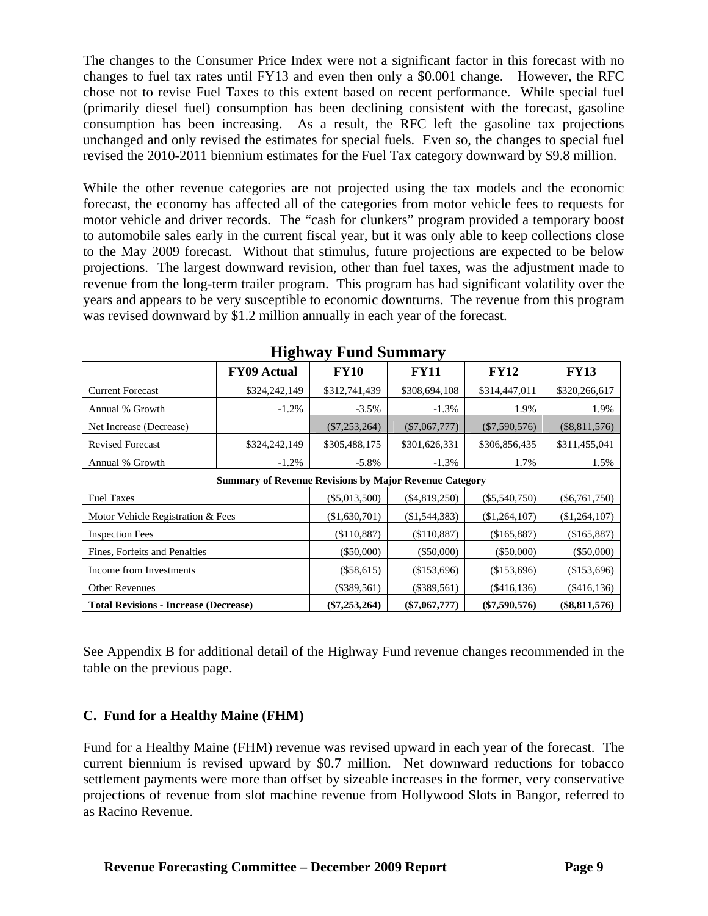The changes to the Consumer Price Index were not a significant factor in this forecast with no changes to fuel tax rates until FY13 and even then only a \$0.001 change. However, the RFC chose not to revise Fuel Taxes to this extent based on recent performance. While special fuel (primarily diesel fuel) consumption has been declining consistent with the forecast, gasoline consumption has been increasing. As a result, the RFC left the gasoline tax projections unchanged and only revised the estimates for special fuels. Even so, the changes to special fuel revised the 2010-2011 biennium estimates for the Fuel Tax category downward by \$9.8 million.

While the other revenue categories are not projected using the tax models and the economic forecast, the economy has affected all of the categories from motor vehicle fees to requests for motor vehicle and driver records. The "cash for clunkers" program provided a temporary boost to automobile sales early in the current fiscal year, but it was only able to keep collections close to the May 2009 forecast. Without that stimulus, future projections are expected to be below projections. The largest downward revision, other than fuel taxes, was the adjustment made to revenue from the long-term trailer program. This program has had significant volatility over the years and appears to be very susceptible to economic downturns. The revenue from this program was revised downward by \$1.2 million annually in each year of the forecast.

| ິ                                            |                                                               |                 |                 |                 |                 |  |
|----------------------------------------------|---------------------------------------------------------------|-----------------|-----------------|-----------------|-----------------|--|
|                                              | <b>FY09 Actual</b>                                            | <b>FY10</b>     | <b>FY11</b>     | <b>FY12</b>     | <b>FY13</b>     |  |
| <b>Current Forecast</b>                      | \$324,242,149                                                 | \$312,741,439   | \$308,694,108   | \$314,447,011   | \$320,266,617   |  |
| Annual % Growth                              | $-1.2\%$                                                      | $-3.5\%$        | $-1.3%$         | 1.9%            | 1.9%            |  |
| Net Increase (Decrease)                      |                                                               | $(\$7,253,264)$ | $(\$7,067,777)$ | $(\$7,590,576)$ | $(\$8,811,576)$ |  |
| <b>Revised Forecast</b>                      | \$324,242,149                                                 | \$305,488,175   | \$301,626,331   | \$306,856,435   | \$311,455,041   |  |
| Annual % Growth                              | $-1.2\%$                                                      | $-5.8\%$        | $-1.3%$         | 1.7%            | 1.5%            |  |
|                                              | <b>Summary of Revenue Revisions by Major Revenue Category</b> |                 |                 |                 |                 |  |
| <b>Fuel Taxes</b>                            |                                                               | $(\$5,013,500)$ | $(\$4,819,250)$ | $(\$5,540,750)$ | $(\$6,761,750)$ |  |
| Motor Vehicle Registration & Fees            |                                                               | (\$1,630,701)   | $(\$1,544,383)$ | (\$1,264,107)   | (\$1,264,107)   |  |
| <b>Inspection Fees</b>                       |                                                               | (\$110,887)     | (\$110,887)     | (\$165,887)     | (\$165,887)     |  |
| Fines, Forfeits and Penalties                | $(\$50,000)$                                                  | $(\$50,000)$    | $(\$50,000)$    | (\$50,000)      |                 |  |
| Income from Investments                      | $(\$58,615)$                                                  | (\$153,696)     | (\$153,696)     | (\$153,696)     |                 |  |
| <b>Other Revenues</b>                        | $(\$389,561)$                                                 | $(\$389,561)$   | $(\$416,136)$   | (\$416,136)     |                 |  |
| <b>Total Revisions - Increase (Decrease)</b> |                                                               | $(\$7,253,264)$ | $(\$7,067,777)$ | $(\$7,590,576)$ | $(\$8,811,576)$ |  |

## **Highway Fund Summary**

See Appendix B for additional detail of the Highway Fund revenue changes recommended in the table on the previous page.

### **C. Fund for a Healthy Maine (FHM)**

Fund for a Healthy Maine (FHM) revenue was revised upward in each year of the forecast. The current biennium is revised upward by \$0.7 million. Net downward reductions for tobacco settlement payments were more than offset by sizeable increases in the former, very conservative projections of revenue from slot machine revenue from Hollywood Slots in Bangor, referred to as Racino Revenue.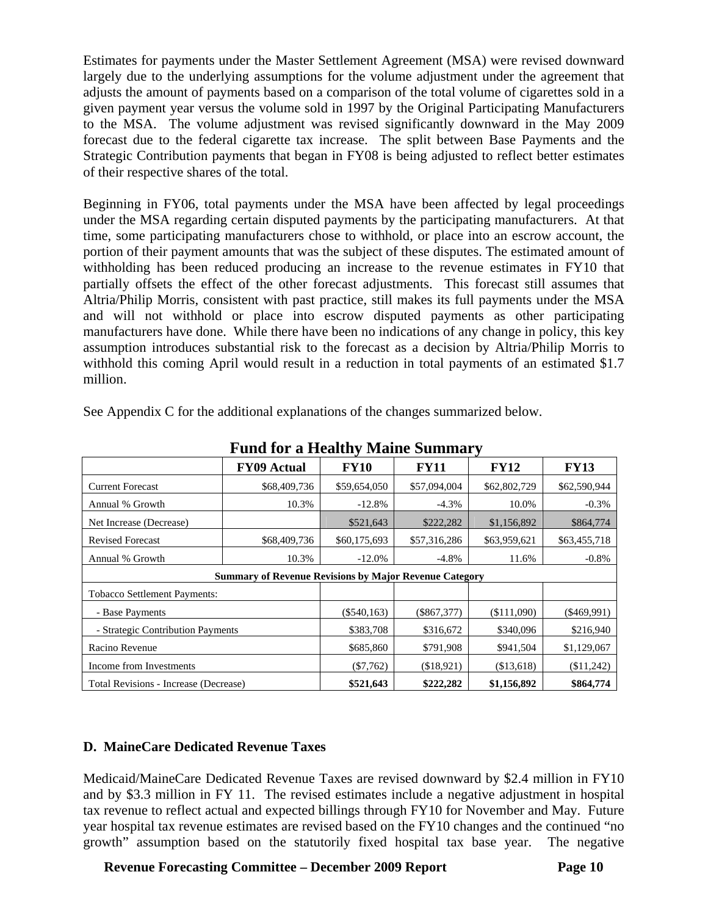Estimates for payments under the Master Settlement Agreement (MSA) were revised downward largely due to the underlying assumptions for the volume adjustment under the agreement that adjusts the amount of payments based on a comparison of the total volume of cigarettes sold in a given payment year versus the volume sold in 1997 by the Original Participating Manufacturers to the MSA. The volume adjustment was revised significantly downward in the May 2009 forecast due to the federal cigarette tax increase. The split between Base Payments and the Strategic Contribution payments that began in FY08 is being adjusted to reflect better estimates of their respective shares of the total.

Beginning in FY06, total payments under the MSA have been affected by legal proceedings under the MSA regarding certain disputed payments by the participating manufacturers. At that time, some participating manufacturers chose to withhold, or place into an escrow account, the portion of their payment amounts that was the subject of these disputes. The estimated amount of withholding has been reduced producing an increase to the revenue estimates in FY10 that partially offsets the effect of the other forecast adjustments. This forecast still assumes that Altria/Philip Morris, consistent with past practice, still makes its full payments under the MSA and will not withhold or place into escrow disputed payments as other participating manufacturers have done. While there have been no indications of any change in policy, this key assumption introduces substantial risk to the forecast as a decision by Altria/Philip Morris to withhold this coming April would result in a reduction in total payments of an estimated \$1.7 million.

| т ини тог а глуани у гланну бишнаг у  |                                                               |               |               |              |               |  |  |
|---------------------------------------|---------------------------------------------------------------|---------------|---------------|--------------|---------------|--|--|
|                                       | <b>FY09 Actual</b>                                            | <b>FY10</b>   | <b>FY11</b>   | <b>FY12</b>  | <b>FY13</b>   |  |  |
| <b>Current Forecast</b>               | \$68,409,736                                                  | \$59,654,050  | \$57,094,004  | \$62,802,729 | \$62,590,944  |  |  |
| Annual % Growth                       | 10.3%                                                         | $-12.8%$      | $-4.3%$       | 10.0%        | $-0.3%$       |  |  |
| Net Increase (Decrease)               |                                                               | \$521,643     | \$222,282     | \$1,156,892  | \$864,774     |  |  |
| <b>Revised Forecast</b>               | \$68,409,736                                                  | \$60,175,693  | \$57,316,286  | \$63,959,621 | \$63,455,718  |  |  |
| Annual % Growth                       | 10.3%                                                         | $-12.0%$      | $-4.8%$       | 11.6%        | $-0.8\%$      |  |  |
|                                       | <b>Summary of Revenue Revisions by Major Revenue Category</b> |               |               |              |               |  |  |
| <b>Tobacco Settlement Payments:</b>   |                                                               |               |               |              |               |  |  |
| - Base Payments                       |                                                               | $(\$540,163)$ | $(\$867,377)$ | (\$111,090)  | $(\$469,991)$ |  |  |
| - Strategic Contribution Payments     |                                                               | \$383,708     | \$316,672     | \$340,096    | \$216,940     |  |  |
| Racino Revenue                        | \$685,860                                                     | \$791,908     | \$941,504     | \$1,129,067  |               |  |  |
| Income from Investments               | $(\$7,762)$                                                   | (\$18,921)    | (\$13,618)    | (\$11,242)   |               |  |  |
| Total Revisions - Increase (Decrease) |                                                               | \$521,643     | \$222,282     | \$1,156,892  | \$864,774     |  |  |

See Appendix C for the additional explanations of the changes summarized below.

**Fund for a Healthy Maine Summary** 

### **D. MaineCare Dedicated Revenue Taxes**

Medicaid/MaineCare Dedicated Revenue Taxes are revised downward by \$2.4 million in FY10 and by \$3.3 million in FY 11. The revised estimates include a negative adjustment in hospital tax revenue to reflect actual and expected billings through FY10 for November and May. Future year hospital tax revenue estimates are revised based on the FY10 changes and the continued "no growth" assumption based on the statutorily fixed hospital tax base year. The negative